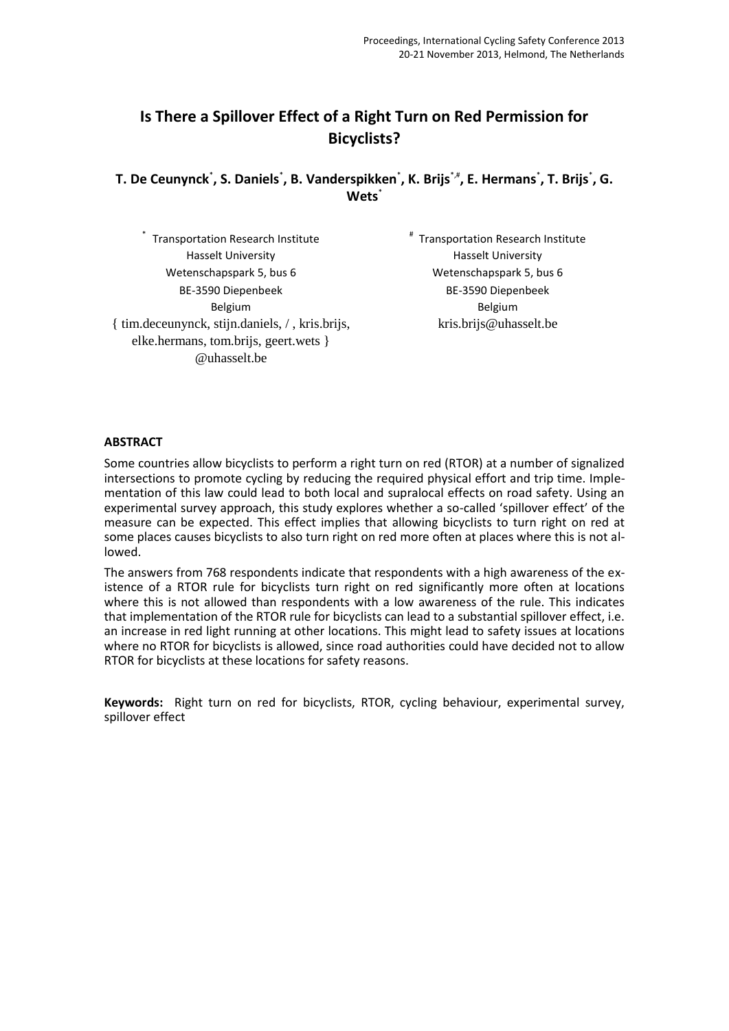# **Is There a Spillover Effect of a Right Turn on Red Permission for Bicyclists?**

**T. De Ceunynck**\* **, S. Daniels**\* **, B. Vanderspikken**\* **, K. Brijs**\*,#**, E. Hermans**\* **, T. Brijs**\* **, G. Wets**\*

\* Transportation Research Institute Hasselt University Wetenschapspark 5, bus 6 BE-3590 Diepenbeek Belgium { tim.deceunynck, stijn.daniels, / , kris.brijs, elke.hermans, tom.brijs, geert.wets } @uhasselt.be # Transportation Research Institute Hasselt University Wetenschapspark 5, bus 6 BE-3590 Diepenbeek Belgium kris.brijs@uhasselt.be

#### **ABSTRACT**

Some countries allow bicyclists to perform a right turn on red (RTOR) at a number of signalized intersections to promote cycling by reducing the required physical effort and trip time. Implementation of this law could lead to both local and supralocal effects on road safety. Using an experimental survey approach, this study explores whether a so-called 'spillover effect' of the measure can be expected. This effect implies that allowing bicyclists to turn right on red at some places causes bicyclists to also turn right on red more often at places where this is not allowed.

The answers from 768 respondents indicate that respondents with a high awareness of the existence of a RTOR rule for bicyclists turn right on red significantly more often at locations where this is not allowed than respondents with a low awareness of the rule. This indicates that implementation of the RTOR rule for bicyclists can lead to a substantial spillover effect, i.e. an increase in red light running at other locations. This might lead to safety issues at locations where no RTOR for bicyclists is allowed, since road authorities could have decided not to allow RTOR for bicyclists at these locations for safety reasons.

**Keywords:** Right turn on red for bicyclists, RTOR, cycling behaviour, experimental survey, spillover effect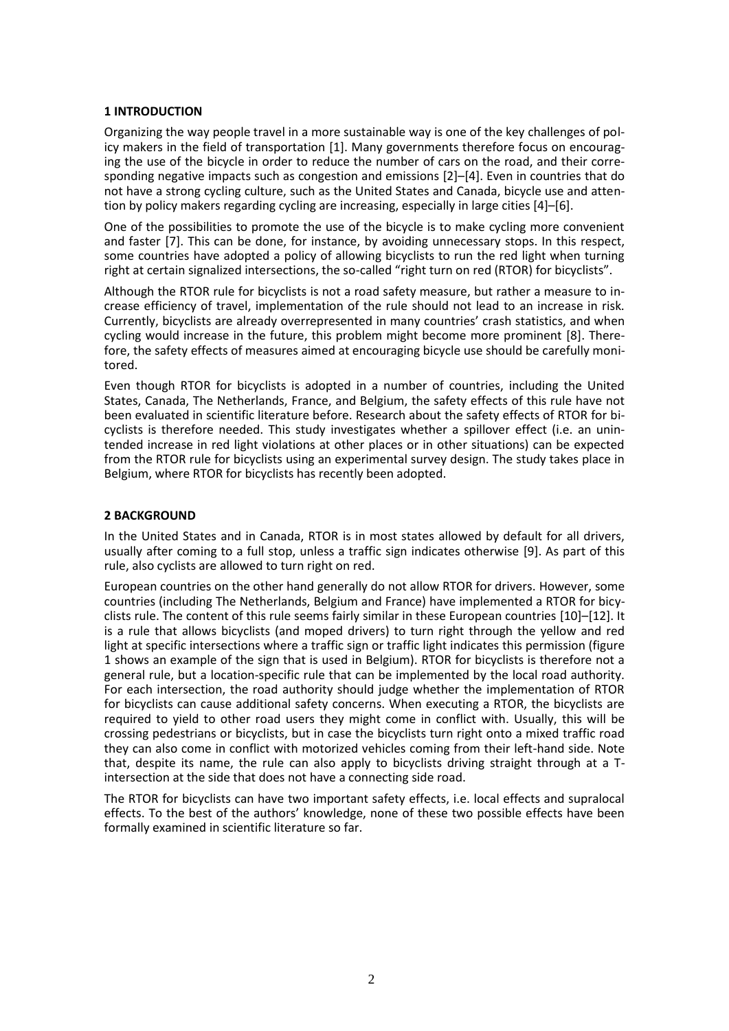### **1 INTRODUCTION**

Organizing the way people travel in a more sustainable way is one of the key challenges of policy makers in the field of transportation [1]. Many governments therefore focus on encouraging the use of the bicycle in order to reduce the number of cars on the road, and their corresponding negative impacts such as congestion and emissions [2]–[4]. Even in countries that do not have a strong cycling culture, such as the United States and Canada, bicycle use and attention by policy makers regarding cycling are increasing, especially in large cities [4]–[6].

One of the possibilities to promote the use of the bicycle is to make cycling more convenient and faster [7]. This can be done, for instance, by avoiding unnecessary stops. In this respect, some countries have adopted a policy of allowing bicyclists to run the red light when turning right at certain signalized intersections, the so-called "right turn on red (RTOR) for bicyclists".

Although the RTOR rule for bicyclists is not a road safety measure, but rather a measure to increase efficiency of travel, implementation of the rule should not lead to an increase in risk. Currently, bicyclists are already overrepresented in many countries' crash statistics, and when cycling would increase in the future, this problem might become more prominent [8]. Therefore, the safety effects of measures aimed at encouraging bicycle use should be carefully monitored.

Even though RTOR for bicyclists is adopted in a number of countries, including the United States, Canada, The Netherlands, France, and Belgium, the safety effects of this rule have not been evaluated in scientific literature before. Research about the safety effects of RTOR for bicyclists is therefore needed. This study investigates whether a spillover effect (i.e. an unintended increase in red light violations at other places or in other situations) can be expected from the RTOR rule for bicyclists using an experimental survey design. The study takes place in Belgium, where RTOR for bicyclists has recently been adopted.

## **2 BACKGROUND**

In the United States and in Canada, RTOR is in most states allowed by default for all drivers, usually after coming to a full stop, unless a traffic sign indicates otherwise [9]. As part of this rule, also cyclists are allowed to turn right on red.

European countries on the other hand generally do not allow RTOR for drivers. However, some countries (including The Netherlands, Belgium and France) have implemented a RTOR for bicyclists rule. The content of this rule seems fairly similar in these European countries [10]–[12]. It is a rule that allows bicyclists (and moped drivers) to turn right through the yellow and red light at specific intersections where a traffic sign or traffic light indicates this permission (figure 1 shows an example of the sign that is used in Belgium). RTOR for bicyclists is therefore not a general rule, but a location-specific rule that can be implemented by the local road authority. For each intersection, the road authority should judge whether the implementation of RTOR for bicyclists can cause additional safety concerns. When executing a RTOR, the bicyclists are required to yield to other road users they might come in conflict with. Usually, this will be crossing pedestrians or bicyclists, but in case the bicyclists turn right onto a mixed traffic road they can also come in conflict with motorized vehicles coming from their left-hand side. Note that, despite its name, the rule can also apply to bicyclists driving straight through at a Tintersection at the side that does not have a connecting side road.

The RTOR for bicyclists can have two important safety effects, i.e. local effects and supralocal effects. To the best of the authors' knowledge, none of these two possible effects have been formally examined in scientific literature so far.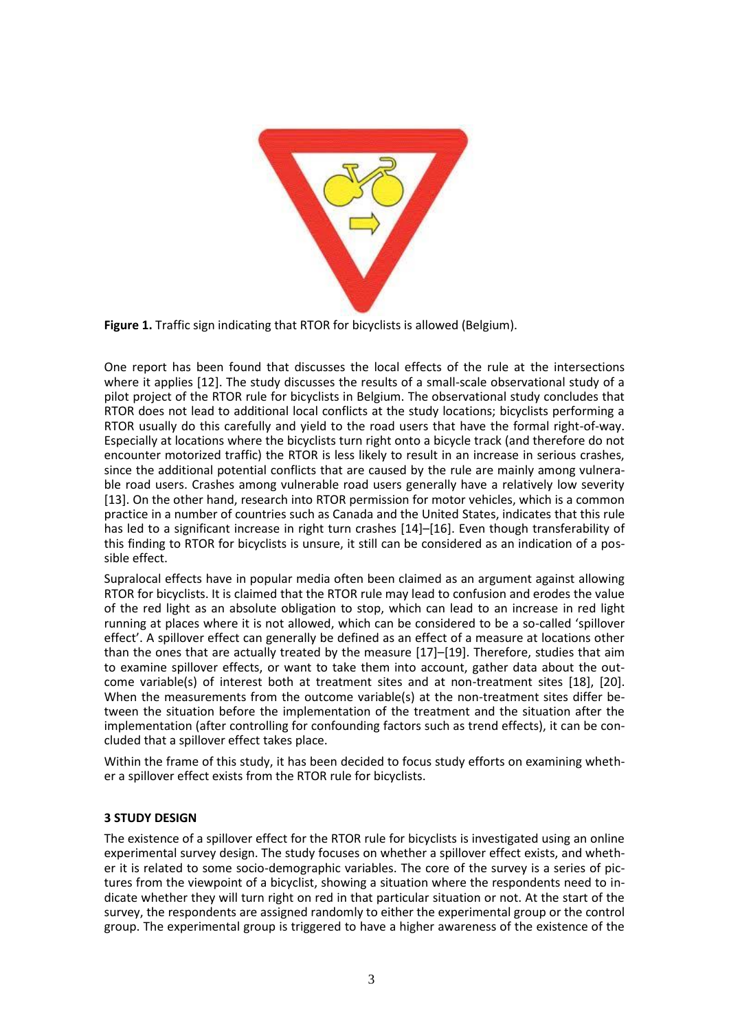

**Figure 1.** Traffic sign indicating that RTOR for bicyclists is allowed (Belgium).

One report has been found that discusses the local effects of the rule at the intersections where it applies [12]. The study discusses the results of a small-scale observational study of a pilot project of the RTOR rule for bicyclists in Belgium. The observational study concludes that RTOR does not lead to additional local conflicts at the study locations; bicyclists performing a RTOR usually do this carefully and yield to the road users that have the formal right-of-way. Especially at locations where the bicyclists turn right onto a bicycle track (and therefore do not encounter motorized traffic) the RTOR is less likely to result in an increase in serious crashes, since the additional potential conflicts that are caused by the rule are mainly among vulnerable road users. Crashes among vulnerable road users generally have a relatively low severity [13]. On the other hand, research into RTOR permission for motor vehicles, which is a common practice in a number of countries such as Canada and the United States, indicates that this rule has led to a significant increase in right turn crashes [14]–[16]. Even though transferability of this finding to RTOR for bicyclists is unsure, it still can be considered as an indication of a possible effect.

Supralocal effects have in popular media often been claimed as an argument against allowing RTOR for bicyclists. It is claimed that the RTOR rule may lead to confusion and erodes the value of the red light as an absolute obligation to stop, which can lead to an increase in red light running at places where it is not allowed, which can be considered to be a so-called 'spillover effect'. A spillover effect can generally be defined as an effect of a measure at locations other than the ones that are actually treated by the measure [17]–[19]. Therefore, studies that aim to examine spillover effects, or want to take them into account, gather data about the outcome variable(s) of interest both at treatment sites and at non-treatment sites [18], [20]. When the measurements from the outcome variable(s) at the non-treatment sites differ between the situation before the implementation of the treatment and the situation after the implementation (after controlling for confounding factors such as trend effects), it can be concluded that a spillover effect takes place.

Within the frame of this study, it has been decided to focus study efforts on examining whether a spillover effect exists from the RTOR rule for bicyclists.

## **3 STUDY DESIGN**

The existence of a spillover effect for the RTOR rule for bicyclists is investigated using an online experimental survey design. The study focuses on whether a spillover effect exists, and whether it is related to some socio-demographic variables. The core of the survey is a series of pictures from the viewpoint of a bicyclist, showing a situation where the respondents need to indicate whether they will turn right on red in that particular situation or not. At the start of the survey, the respondents are assigned randomly to either the experimental group or the control group. The experimental group is triggered to have a higher awareness of the existence of the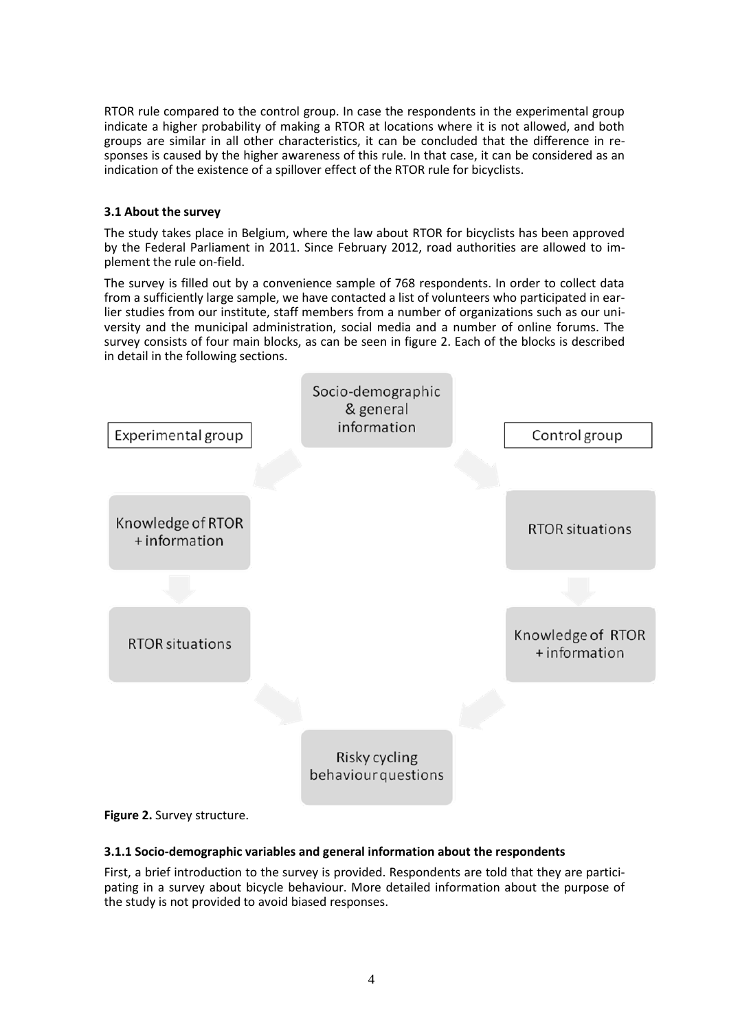RTOR rule compared to the control group. In case the respondents in the experimental group indicate a higher probability of making a RTOR at locations where it is not allowed, and both groups are similar in all other characteristics, it can be concluded that the difference in responses is caused by the higher awareness of this rule. In that case, it can be considered as an indication of the existence of a spillover effect of the RTOR rule for bicyclists.

## **3.1 About the survey**

The study takes place in Belgium, where the law about RTOR for bicyclists has been approved by the Federal Parliament in 2011. Since February 2012, road authorities are allowed to implement the rule on-field.

The survey is filled out by a convenience sample of 768 respondents. In order to collect data from a sufficiently large sample, we have contacted a list of volunteers who participated in earlier studies from our institute, staff members from a number of organizations such as our university and the municipal administration, social media and a number of online forums. The survey consists of four main blocks, as can be seen in figure 2. Each of the blocks is described in detail in the following sections.



## **Figure 2.** Survey structure.

## **3.1.1 Socio-demographic variables and general information about the respondents**

First, a brief introduction to the survey is provided. Respondents are told that they are participating in a survey about bicycle behaviour. More detailed information about the purpose of the study is not provided to avoid biased responses.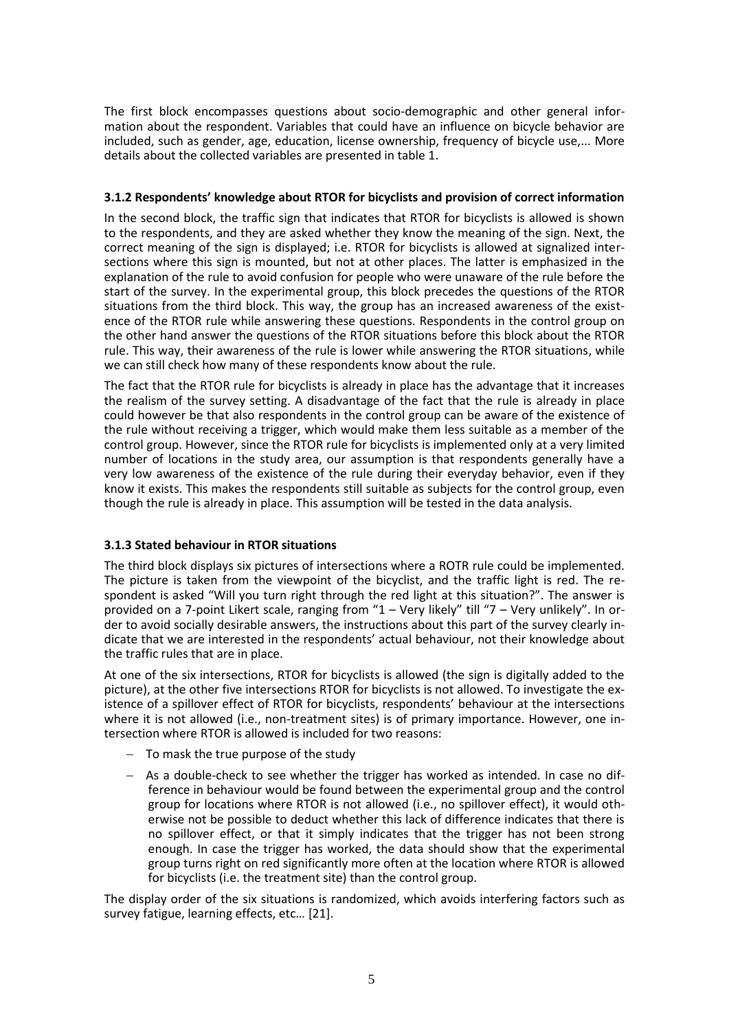The first block encompasses questions about socio-demographic and other general information about the respondent. Variables that could have an influence on bicycle behavior are included, such as gender, age, education, license ownership, frequency of bicycle use,... More details about the collected variables are presented in table 1.

## **3.1.2 Respondents' knowledge about RTOR for bicyclists and provision of correct information**

In the second block, the traffic sign that indicates that RTOR for bicyclists is allowed is shown to the respondents, and they are asked whether they know the meaning of the sign. Next, the correct meaning of the sign is displayed; i.e. RTOR for bicyclists is allowed at signalized intersections where this sign is mounted, but not at other places. The latter is emphasized in the explanation of the rule to avoid confusion for people who were unaware of the rule before the start of the survey. In the experimental group, this block precedes the questions of the RTOR situations from the third block. This way, the group has an increased awareness of the existence of the RTOR rule while answering these questions. Respondents in the control group on the other hand answer the questions of the RTOR situations before this block about the RTOR rule. This way, their awareness of the rule is lower while answering the RTOR situations, while we can still check how many of these respondents know about the rule.

The fact that the RTOR rule for bicyclists is already in place has the advantage that it increases the realism of the survey setting. A disadvantage of the fact that the rule is already in place could however be that also respondents in the control group can be aware of the existence of the rule without receiving a trigger, which would make them less suitable as a member of the control group. However, since the RTOR rule for bicyclists is implemented only at a very limited number of locations in the study area, our assumption is that respondents generally have a very low awareness of the existence of the rule during their everyday behavior, even if they know it exists. This makes the respondents still suitable as subjects for the control group, even though the rule is already in place. This assumption will be tested in the data analysis.

## **3.1.3 Stated behaviour in RTOR situations**

The third block displays six pictures of intersections where a ROTR rule could be implemented. The picture is taken from the viewpoint of the bicyclist, and the traffic light is red. The respondent is asked "Will you turn right through the red light at this situation?". The answer is provided on a 7-point Likert scale, ranging from "1 – Very likely" till "7 – Very unlikely". In order to avoid socially desirable answers, the instructions about this part of the survey clearly indicate that we are interested in the respondents' actual behaviour, not their knowledge about the traffic rules that are in place.

At one of the six intersections, RTOR for bicyclists is allowed (the sign is digitally added to the picture), at the other five intersections RTOR for bicyclists is not allowed. To investigate the existence of a spillover effect of RTOR for bicyclists, respondents' behaviour at the intersections where it is not allowed (i.e., non-treatment sites) is of primary importance. However, one intersection where RTOR is allowed is included for two reasons:

- $-$  To mask the true purpose of the study
- As a double-check to see whether the trigger has worked as intended. In case no difference in behaviour would be found between the experimental group and the control group for locations where RTOR is not allowed (i.e., no spillover effect), it would otherwise not be possible to deduct whether this lack of difference indicates that there is no spillover effect, or that it simply indicates that the trigger has not been strong enough. In case the trigger has worked, the data should show that the experimental group turns right on red significantly more often at the location where RTOR is allowed for bicyclists (i.e. the treatment site) than the control group.

The display order of the six situations is randomized, which avoids interfering factors such as survey fatigue, learning effects, etc… [21].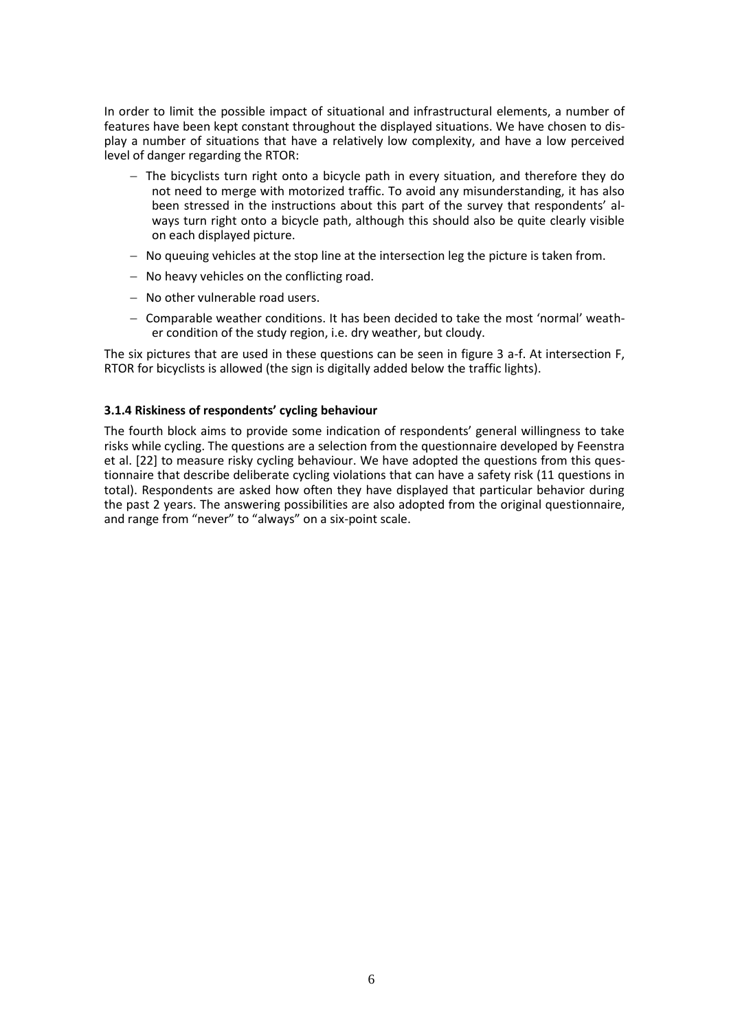In order to limit the possible impact of situational and infrastructural elements, a number of features have been kept constant throughout the displayed situations. We have chosen to display a number of situations that have a relatively low complexity, and have a low perceived level of danger regarding the RTOR:

- $-$  The bicyclists turn right onto a bicycle path in every situation, and therefore they do not need to merge with motorized traffic. To avoid any misunderstanding, it has also been stressed in the instructions about this part of the survey that respondents' always turn right onto a bicycle path, although this should also be quite clearly visible on each displayed picture.
- $-$  No queuing vehicles at the stop line at the intersection leg the picture is taken from.
- $-$  No heavy vehicles on the conflicting road.
- No other vulnerable road users.
- $-$  Comparable weather conditions. It has been decided to take the most 'normal' weather condition of the study region, i.e. dry weather, but cloudy.

The six pictures that are used in these questions can be seen in figure 3 a-f. At intersection F, RTOR for bicyclists is allowed (the sign is digitally added below the traffic lights).

## **3.1.4 Riskiness of respondents' cycling behaviour**

The fourth block aims to provide some indication of respondents' general willingness to take risks while cycling. The questions are a selection from the questionnaire developed by Feenstra et al. [22] to measure risky cycling behaviour. We have adopted the questions from this questionnaire that describe deliberate cycling violations that can have a safety risk (11 questions in total). Respondents are asked how often they have displayed that particular behavior during the past 2 years. The answering possibilities are also adopted from the original questionnaire, and range from "never" to "always" on a six-point scale.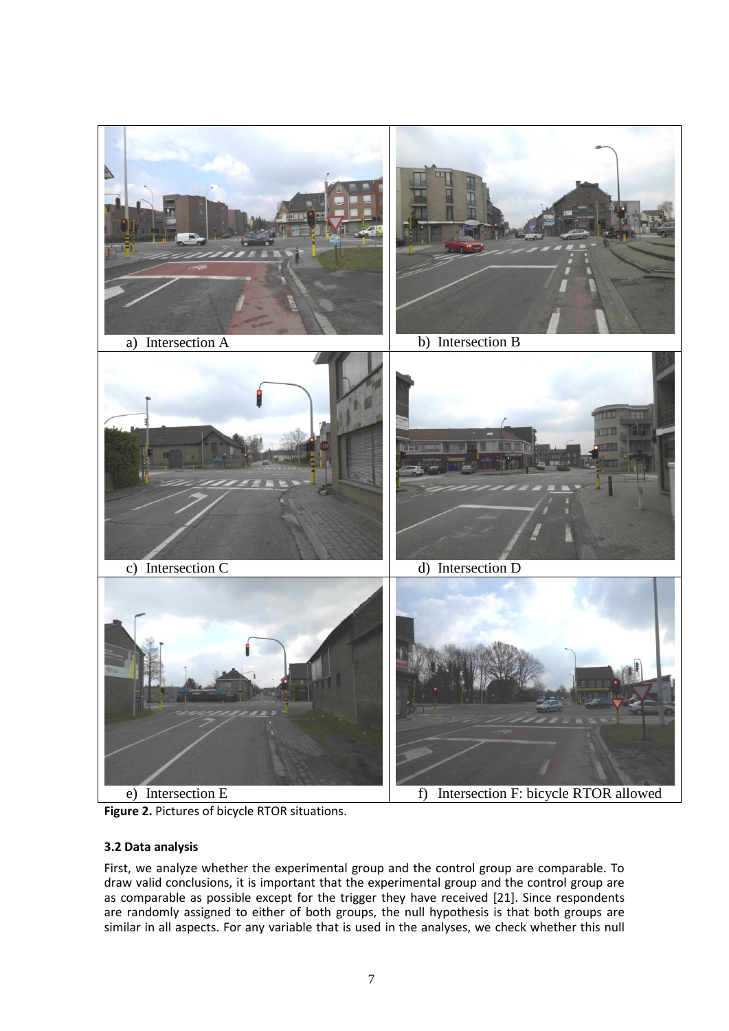

**Figure 2.** Pictures of bicycle RTOR situations.

## **3.2 Data analysis**

First, we analyze whether the experimental group and the control group are comparable. To draw valid conclusions, it is important that the experimental group and the control group are as comparable as possible except for the trigger they have received [21]. Since respondents are randomly assigned to either of both groups, the null hypothesis is that both groups are similar in all aspects. For any variable that is used in the analyses, we check whether this null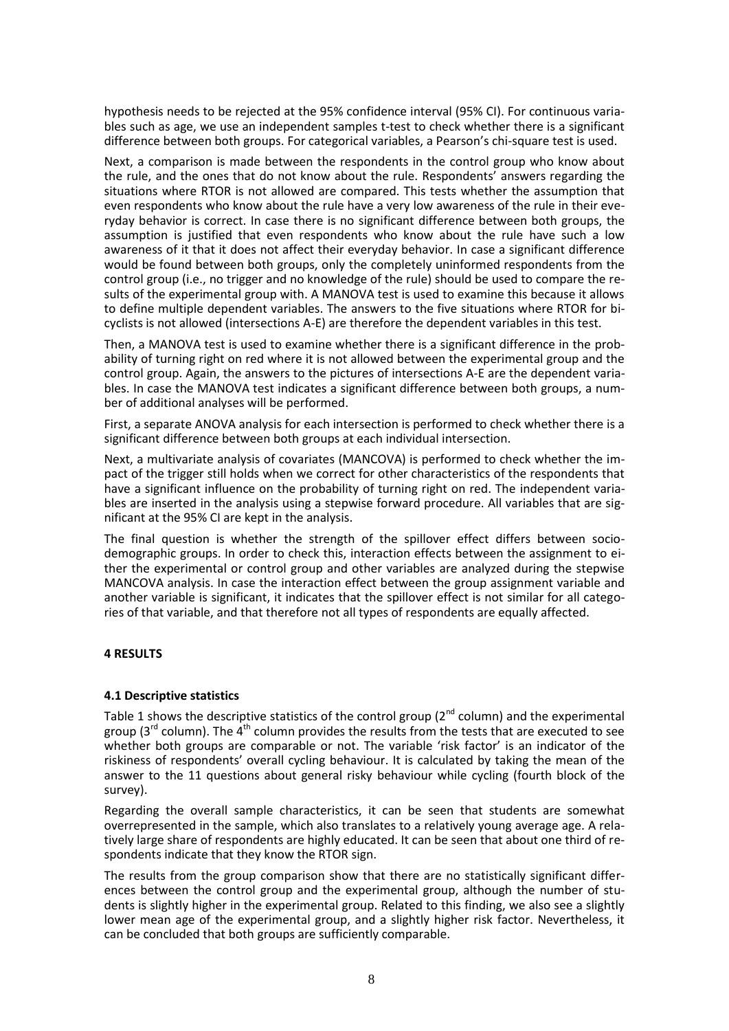hypothesis needs to be rejected at the 95% confidence interval (95% CI). For continuous variables such as age, we use an independent samples t-test to check whether there is a significant difference between both groups. For categorical variables, a Pearson's chi-square test is used.

Next, a comparison is made between the respondents in the control group who know about the rule, and the ones that do not know about the rule. Respondents' answers regarding the situations where RTOR is not allowed are compared. This tests whether the assumption that even respondents who know about the rule have a very low awareness of the rule in their everyday behavior is correct. In case there is no significant difference between both groups, the assumption is justified that even respondents who know about the rule have such a low awareness of it that it does not affect their everyday behavior. In case a significant difference would be found between both groups, only the completely uninformed respondents from the control group (i.e., no trigger and no knowledge of the rule) should be used to compare the results of the experimental group with. A MANOVA test is used to examine this because it allows to define multiple dependent variables. The answers to the five situations where RTOR for bicyclists is not allowed (intersections A-E) are therefore the dependent variables in this test.

Then, a MANOVA test is used to examine whether there is a significant difference in the probability of turning right on red where it is not allowed between the experimental group and the control group. Again, the answers to the pictures of intersections A-E are the dependent variables. In case the MANOVA test indicates a significant difference between both groups, a number of additional analyses will be performed.

First, a separate ANOVA analysis for each intersection is performed to check whether there is a significant difference between both groups at each individual intersection.

Next, a multivariate analysis of covariates (MANCOVA) is performed to check whether the impact of the trigger still holds when we correct for other characteristics of the respondents that have a significant influence on the probability of turning right on red. The independent variables are inserted in the analysis using a stepwise forward procedure. All variables that are significant at the 95% CI are kept in the analysis.

The final question is whether the strength of the spillover effect differs between sociodemographic groups. In order to check this, interaction effects between the assignment to either the experimental or control group and other variables are analyzed during the stepwise MANCOVA analysis. In case the interaction effect between the group assignment variable and another variable is significant, it indicates that the spillover effect is not similar for all categories of that variable, and that therefore not all types of respondents are equally affected.

## **4 RESULTS**

## **4.1 Descriptive statistics**

Table 1 shows the descriptive statistics of the control group ( $2<sup>nd</sup>$  column) and the experimental group  $(3^{rd}$  column). The  $4^{th}$  column provides the results from the tests that are executed to see whether both groups are comparable or not. The variable 'risk factor' is an indicator of the riskiness of respondents' overall cycling behaviour. It is calculated by taking the mean of the answer to the 11 questions about general risky behaviour while cycling (fourth block of the survey).

Regarding the overall sample characteristics, it can be seen that students are somewhat overrepresented in the sample, which also translates to a relatively young average age. A relatively large share of respondents are highly educated. It can be seen that about one third of respondents indicate that they know the RTOR sign.

The results from the group comparison show that there are no statistically significant differences between the control group and the experimental group, although the number of students is slightly higher in the experimental group. Related to this finding, we also see a slightly lower mean age of the experimental group, and a slightly higher risk factor. Nevertheless, it can be concluded that both groups are sufficiently comparable.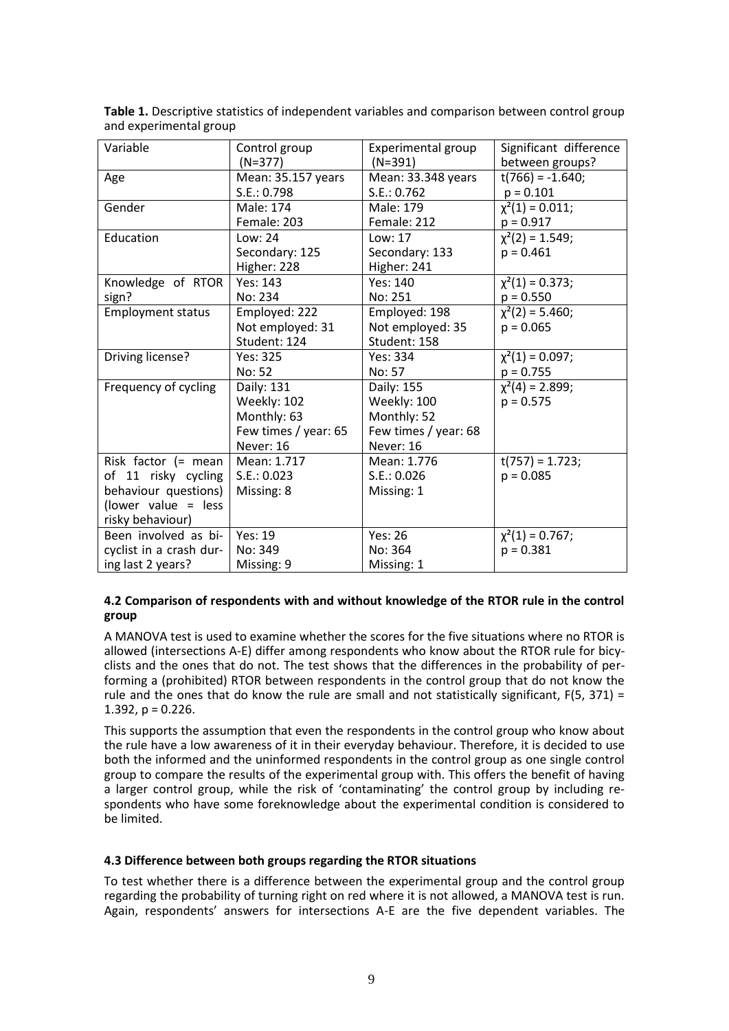| Variable                 | Control group        | Experimental group   | Significant difference |
|--------------------------|----------------------|----------------------|------------------------|
|                          | $(N=377)$            | $(N=391)$            | between groups?        |
| Age                      | Mean: 35.157 years   | Mean: 33.348 years   | $t(766) = -1.640;$     |
|                          | S.E.: 0.798          | S.E.: 0.762          | $p = 0.101$            |
| Gender                   | Male: 174            | Male: 179            | $\chi^2(1) = 0.011;$   |
|                          | Female: 203          | Female: 212          | $p = 0.917$            |
| Education                | Low: 24              | Low: 17              | $\chi^2(2) = 1.549;$   |
|                          | Secondary: 125       | Secondary: 133       | $p = 0.461$            |
|                          | Higher: 228          | Higher: 241          |                        |
| Knowledge of RTOR        | Yes: 143             | Yes: 140             | $\chi^2(1) = 0.373;$   |
| sign?                    | No: 234              | No: 251              | $p = 0.550$            |
| <b>Employment status</b> | Employed: 222        | Employed: 198        | $\chi^2(2) = 5.460;$   |
|                          | Not employed: 31     | Not employed: 35     | $p = 0.065$            |
|                          | Student: 124         | Student: 158         |                        |
| Driving license?         | Yes: 325             | Yes: 334             | $\chi^2(1) = 0.097;$   |
|                          | No: 52               | No: 57               | $p = 0.755$            |
| Frequency of cycling     | Daily: 131           | Daily: 155           | $\chi^2(4) = 2.899;$   |
|                          | Weekly: 102          | Weekly: 100          | $p = 0.575$            |
|                          | Monthly: 63          | Monthly: 52          |                        |
|                          | Few times / year: 65 | Few times / year: 68 |                        |
|                          | Never: 16            | Never: 16            |                        |
| Risk factor (= mean      | Mean: 1.717          | Mean: 1.776          | $t(757) = 1.723;$      |
| of 11 risky cycling      | S.E.: 0.023          | S.E.: 0.026          | $p = 0.085$            |
| behaviour questions)     | Missing: 8           | Missing: 1           |                        |
| (lower value = less      |                      |                      |                        |
| risky behaviour)         |                      |                      |                        |
| Been involved as bi-     | Yes: 19              | Yes: 26              | $\chi^2(1) = 0.767;$   |
| cyclist in a crash dur-  | No: 349              | No: 364              | $p = 0.381$            |
| ing last 2 years?        | Missing: 9           | Missing: 1           |                        |

**Table 1.** Descriptive statistics of independent variables and comparison between control group and experimental group

## **4.2 Comparison of respondents with and without knowledge of the RTOR rule in the control group**

A MANOVA test is used to examine whether the scores for the five situations where no RTOR is allowed (intersections A-E) differ among respondents who know about the RTOR rule for bicyclists and the ones that do not. The test shows that the differences in the probability of performing a (prohibited) RTOR between respondents in the control group that do not know the rule and the ones that do know the rule are small and not statistically significant,  $F(5, 371) =$ 1.392,  $p = 0.226$ .

This supports the assumption that even the respondents in the control group who know about the rule have a low awareness of it in their everyday behaviour. Therefore, it is decided to use both the informed and the uninformed respondents in the control group as one single control group to compare the results of the experimental group with. This offers the benefit of having a larger control group, while the risk of 'contaminating' the control group by including respondents who have some foreknowledge about the experimental condition is considered to be limited.

## **4.3 Difference between both groups regarding the RTOR situations**

To test whether there is a difference between the experimental group and the control group regarding the probability of turning right on red where it is not allowed, a MANOVA test is run. Again, respondents' answers for intersections A-E are the five dependent variables. The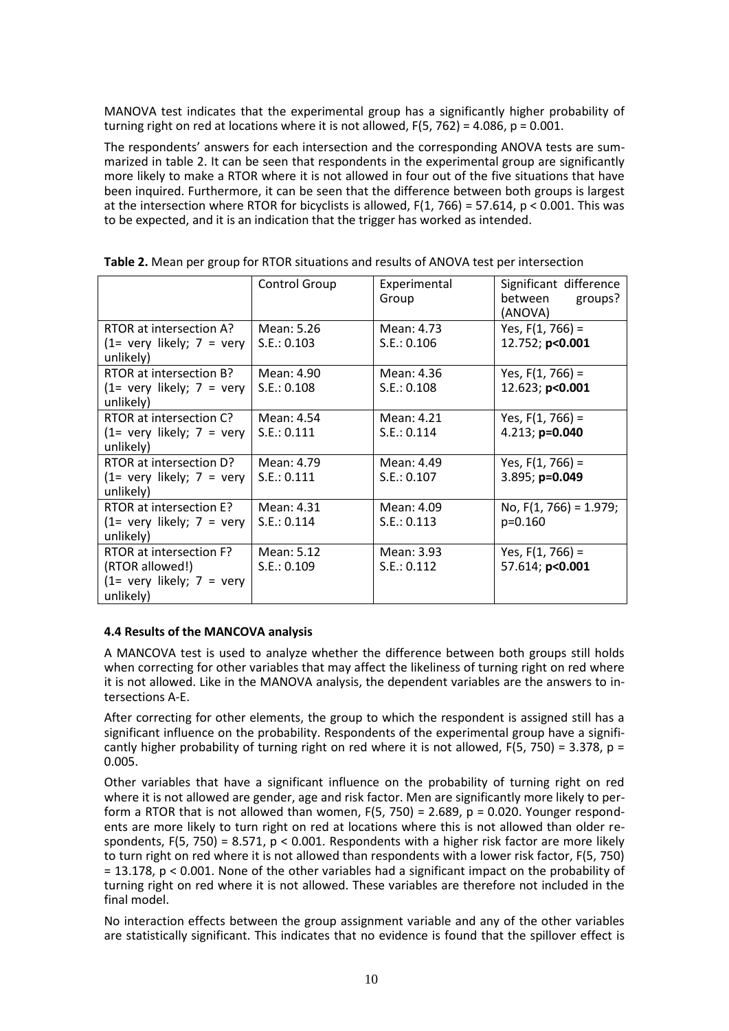MANOVA test indicates that the experimental group has a significantly higher probability of turning right on red at locations where it is not allowed,  $F(5, 762) = 4.086$ ,  $p = 0.001$ .

The respondents' answers for each intersection and the corresponding ANOVA tests are summarized in table 2. It can be seen that respondents in the experimental group are significantly more likely to make a RTOR where it is not allowed in four out of the five situations that have been inquired. Furthermore, it can be seen that the difference between both groups is largest at the intersection where RTOR for bicyclists is allowed,  $F(1, 766) = 57.614$ ,  $p < 0.001$ . This was to be expected, and it is an indication that the trigger has worked as intended.

|                                            | Control Group | Experimental<br>Group | Significant difference<br>between<br>groups?<br>(ANOVA) |
|--------------------------------------------|---------------|-----------------------|---------------------------------------------------------|
| RTOR at intersection A?                    | Mean: 5.26    | Mean: 4.73            | Yes, $F(1, 766) =$                                      |
| $(1=$ very likely; $7 =$ very<br>unlikely) | S.E.: 0.103   | S.E.: 0.106           | 12.752; p<0.001                                         |
| RTOR at intersection B?                    | Mean: 4.90    | Mean: 4.36            | Yes, $F(1, 766) =$                                      |
| $(1=$ very likely; $7 =$ very              | S.E.: 0.108   | S.E.: 0.108           | 12.623; p<0.001                                         |
| unlikely)                                  |               |                       |                                                         |
| RTOR at intersection C?                    | Mean: 4.54    | Mean: 4.21            | Yes, $F(1, 766) =$                                      |
| $(1=$ very likely; $7 =$ very              | S.E.: 0.111   | S.E.: 0.114           | 4.213; p=0.040                                          |
| unlikely)                                  |               |                       |                                                         |
| RTOR at intersection D?                    | Mean: 4.79    | Mean: 4.49            | Yes, $F(1, 766) =$                                      |
| $(1=$ very likely; $7 =$ very              | S.E.: 0.111   | S.E.: 0.107           | 3.895; p=0.049                                          |
| unlikely)                                  |               |                       |                                                         |
| RTOR at intersection E?                    | Mean: 4.31    | Mean: 4.09            | No, $F(1, 766) = 1.979$ ;                               |
| $(1=$ very likely; $7 =$ very              | S.E.: 0.114   | S.E.: 0.113           | $p=0.160$                                               |
| unlikely)                                  |               |                       |                                                         |
| RTOR at intersection F?                    | Mean: 5.12    | Mean: 3.93            | Yes, $F(1, 766) =$                                      |
| (RTOR allowed!)                            | S.E.: 0.109   | S.E.: 0.112           | 57.614; p<0.001                                         |
| $(1=$ very likely; $7 =$ very<br>unlikely) |               |                       |                                                         |

## **4.4 Results of the MANCOVA analysis**

A MANCOVA test is used to analyze whether the difference between both groups still holds when correcting for other variables that may affect the likeliness of turning right on red where it is not allowed. Like in the MANOVA analysis, the dependent variables are the answers to intersections A-E.

After correcting for other elements, the group to which the respondent is assigned still has a significant influence on the probability. Respondents of the experimental group have a significantly higher probability of turning right on red where it is not allowed,  $F(5, 750) = 3.378$ ,  $p =$ 0.005.

Other variables that have a significant influence on the probability of turning right on red where it is not allowed are gender, age and risk factor. Men are significantly more likely to perform a RTOR that is not allowed than women,  $F(5, 750) = 2.689$ ,  $p = 0.020$ . Younger respondents are more likely to turn right on red at locations where this is not allowed than older respondents,  $F(5, 750) = 8.571$ ,  $p < 0.001$ . Respondents with a higher risk factor are more likely to turn right on red where it is not allowed than respondents with a lower risk factor, F(5, 750) = 13.178, p < 0.001. None of the other variables had a significant impact on the probability of turning right on red where it is not allowed. These variables are therefore not included in the final model.

No interaction effects between the group assignment variable and any of the other variables are statistically significant. This indicates that no evidence is found that the spillover effect is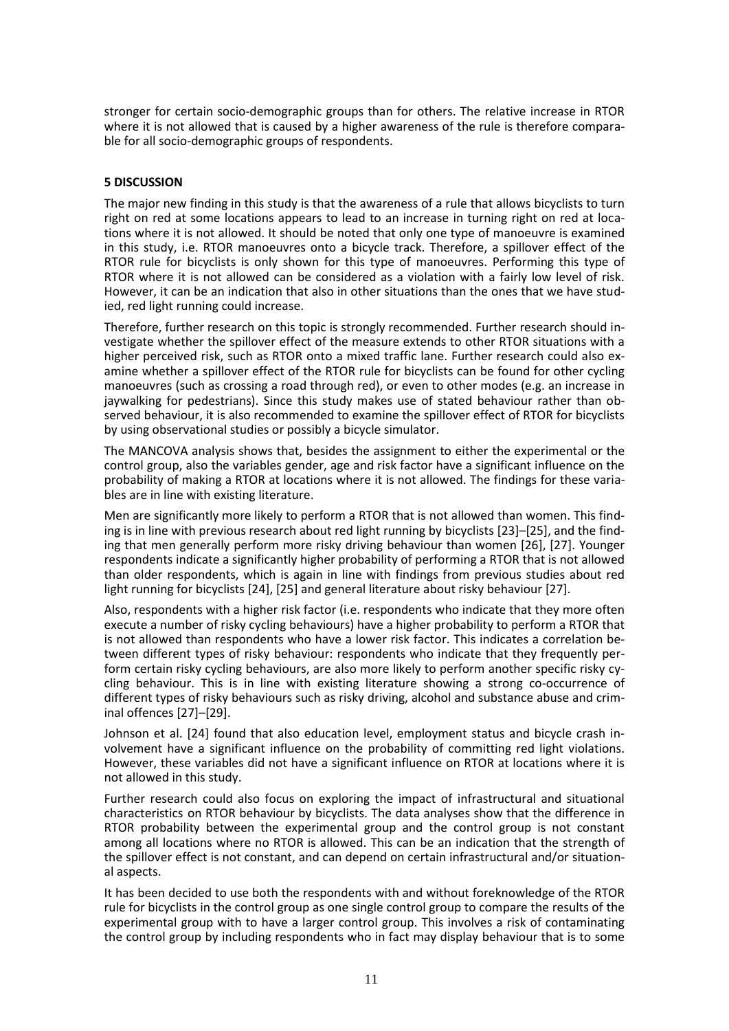stronger for certain socio-demographic groups than for others. The relative increase in RTOR where it is not allowed that is caused by a higher awareness of the rule is therefore comparable for all socio-demographic groups of respondents.

## **5 DISCUSSION**

The major new finding in this study is that the awareness of a rule that allows bicyclists to turn right on red at some locations appears to lead to an increase in turning right on red at locations where it is not allowed. It should be noted that only one type of manoeuvre is examined in this study, i.e. RTOR manoeuvres onto a bicycle track. Therefore, a spillover effect of the RTOR rule for bicyclists is only shown for this type of manoeuvres. Performing this type of RTOR where it is not allowed can be considered as a violation with a fairly low level of risk. However, it can be an indication that also in other situations than the ones that we have studied, red light running could increase.

Therefore, further research on this topic is strongly recommended. Further research should investigate whether the spillover effect of the measure extends to other RTOR situations with a higher perceived risk, such as RTOR onto a mixed traffic lane. Further research could also examine whether a spillover effect of the RTOR rule for bicyclists can be found for other cycling manoeuvres (such as crossing a road through red), or even to other modes (e.g. an increase in jaywalking for pedestrians). Since this study makes use of stated behaviour rather than observed behaviour, it is also recommended to examine the spillover effect of RTOR for bicyclists by using observational studies or possibly a bicycle simulator.

The MANCOVA analysis shows that, besides the assignment to either the experimental or the control group, also the variables gender, age and risk factor have a significant influence on the probability of making a RTOR at locations where it is not allowed. The findings for these variables are in line with existing literature.

Men are significantly more likely to perform a RTOR that is not allowed than women. This finding is in line with previous research about red light running by bicyclists [23]–[25], and the finding that men generally perform more risky driving behaviour than women [26], [27]. Younger respondents indicate a significantly higher probability of performing a RTOR that is not allowed than older respondents, which is again in line with findings from previous studies about red light running for bicyclists [24], [25] and general literature about risky behaviour [27].

Also, respondents with a higher risk factor (i.e. respondents who indicate that they more often execute a number of risky cycling behaviours) have a higher probability to perform a RTOR that is not allowed than respondents who have a lower risk factor. This indicates a correlation between different types of risky behaviour: respondents who indicate that they frequently perform certain risky cycling behaviours, are also more likely to perform another specific risky cycling behaviour. This is in line with existing literature showing a strong co-occurrence of different types of risky behaviours such as risky driving, alcohol and substance abuse and criminal offences [27]–[29].

Johnson et al. [24] found that also education level, employment status and bicycle crash involvement have a significant influence on the probability of committing red light violations. However, these variables did not have a significant influence on RTOR at locations where it is not allowed in this study.

Further research could also focus on exploring the impact of infrastructural and situational characteristics on RTOR behaviour by bicyclists. The data analyses show that the difference in RTOR probability between the experimental group and the control group is not constant among all locations where no RTOR is allowed. This can be an indication that the strength of the spillover effect is not constant, and can depend on certain infrastructural and/or situational aspects.

It has been decided to use both the respondents with and without foreknowledge of the RTOR rule for bicyclists in the control group as one single control group to compare the results of the experimental group with to have a larger control group. This involves a risk of contaminating the control group by including respondents who in fact may display behaviour that is to some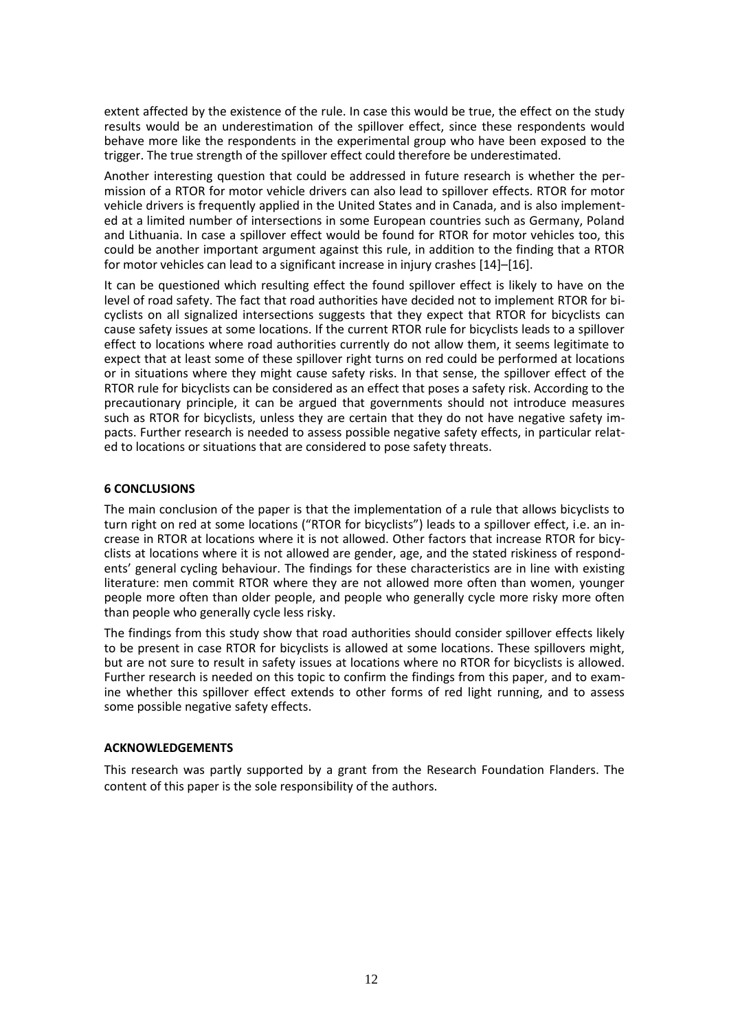extent affected by the existence of the rule. In case this would be true, the effect on the study results would be an underestimation of the spillover effect, since these respondents would behave more like the respondents in the experimental group who have been exposed to the trigger. The true strength of the spillover effect could therefore be underestimated.

Another interesting question that could be addressed in future research is whether the permission of a RTOR for motor vehicle drivers can also lead to spillover effects. RTOR for motor vehicle drivers is frequently applied in the United States and in Canada, and is also implemented at a limited number of intersections in some European countries such as Germany, Poland and Lithuania. In case a spillover effect would be found for RTOR for motor vehicles too, this could be another important argument against this rule, in addition to the finding that a RTOR for motor vehicles can lead to a significant increase in injury crashes [14]–[16].

It can be questioned which resulting effect the found spillover effect is likely to have on the level of road safety. The fact that road authorities have decided not to implement RTOR for bicyclists on all signalized intersections suggests that they expect that RTOR for bicyclists can cause safety issues at some locations. If the current RTOR rule for bicyclists leads to a spillover effect to locations where road authorities currently do not allow them, it seems legitimate to expect that at least some of these spillover right turns on red could be performed at locations or in situations where they might cause safety risks. In that sense, the spillover effect of the RTOR rule for bicyclists can be considered as an effect that poses a safety risk. According to the precautionary principle, it can be argued that governments should not introduce measures such as RTOR for bicyclists, unless they are certain that they do not have negative safety impacts. Further research is needed to assess possible negative safety effects, in particular related to locations or situations that are considered to pose safety threats.

## **6 CONCLUSIONS**

The main conclusion of the paper is that the implementation of a rule that allows bicyclists to turn right on red at some locations ("RTOR for bicyclists") leads to a spillover effect, i.e. an increase in RTOR at locations where it is not allowed. Other factors that increase RTOR for bicyclists at locations where it is not allowed are gender, age, and the stated riskiness of respondents' general cycling behaviour. The findings for these characteristics are in line with existing literature: men commit RTOR where they are not allowed more often than women, younger people more often than older people, and people who generally cycle more risky more often than people who generally cycle less risky.

The findings from this study show that road authorities should consider spillover effects likely to be present in case RTOR for bicyclists is allowed at some locations. These spillovers might, but are not sure to result in safety issues at locations where no RTOR for bicyclists is allowed. Further research is needed on this topic to confirm the findings from this paper, and to examine whether this spillover effect extends to other forms of red light running, and to assess some possible negative safety effects.

## **ACKNOWLEDGEMENTS**

This research was partly supported by a grant from the Research Foundation Flanders. The content of this paper is the sole responsibility of the authors.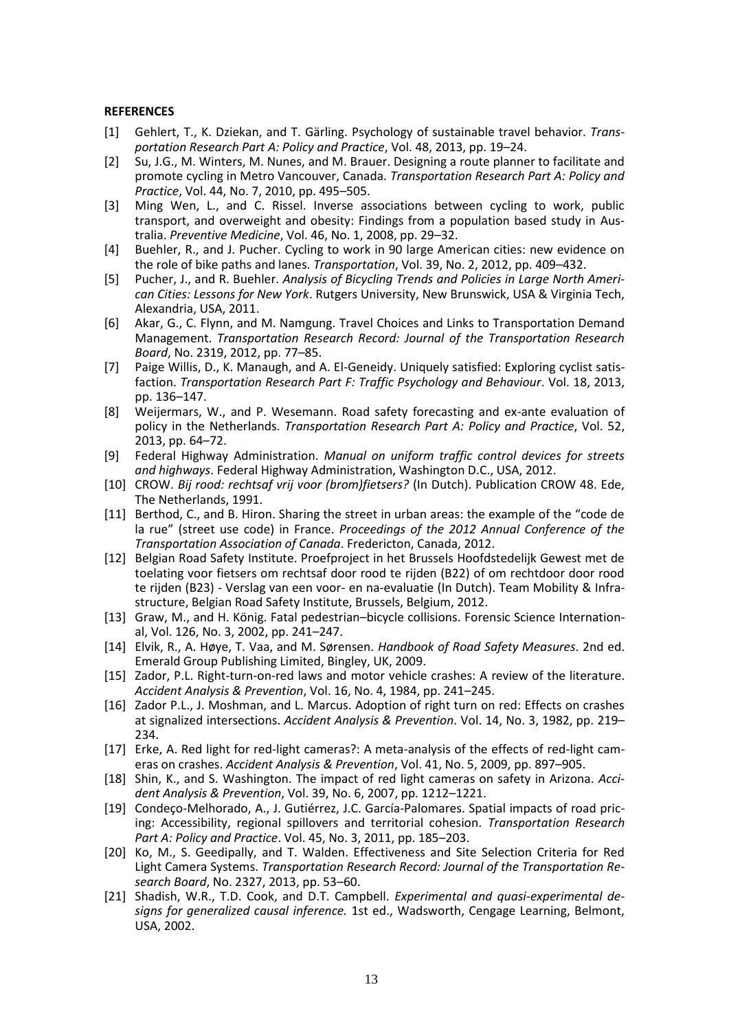#### **REFERENCES**

- [1] Gehlert, T., K. Dziekan, and T. Gärling. Psychology of sustainable travel behavior. *Transportation Research Part A: Policy and Practice*, Vol. 48, 2013, pp. 19–24.
- [2] Su, J.G., M. Winters, M. Nunes, and M. Brauer. Designing a route planner to facilitate and promote cycling in Metro Vancouver, Canada. *Transportation Research Part A: Policy and Practice*, Vol. 44, No. 7, 2010, pp. 495–505.
- [3] Ming Wen, L., and C. Rissel. Inverse associations between cycling to work, public transport, and overweight and obesity: Findings from a population based study in Australia. *Preventive Medicine*, Vol. 46, No. 1, 2008, pp. 29–32.
- [4] Buehler, R., and J. Pucher. Cycling to work in 90 large American cities: new evidence on the role of bike paths and lanes. *Transportation*, Vol. 39, No. 2, 2012, pp. 409–432.
- [5] Pucher, J., and R. Buehler. *Analysis of Bicycling Trends and Policies in Large North American Cities: Lessons for New York*. Rutgers University, New Brunswick, USA & Virginia Tech, Alexandria, USA, 2011.
- [6] Akar, G., C. Flynn, and M. Namgung. Travel Choices and Links to Transportation Demand Management. *Transportation Research Record: Journal of the Transportation Research Board*, No. 2319, 2012, pp. 77–85.
- [7] Paige Willis, D., K. Manaugh, and A. El-Geneidy. Uniquely satisfied: Exploring cyclist satisfaction. *Transportation Research Part F: Traffic Psychology and Behaviour*. Vol. 18, 2013, pp. 136–147.
- [8] Weijermars, W., and P. Wesemann. Road safety forecasting and ex-ante evaluation of policy in the Netherlands. *Transportation Research Part A: Policy and Practice*, Vol. 52, 2013, pp. 64–72.
- [9] Federal Highway Administration. *Manual on uniform traffic control devices for streets and highways*. Federal Highway Administration, Washington D.C., USA, 2012.
- [10] CROW. *Bij rood: rechtsaf vrij voor (brom)fietsers?* (In Dutch). Publication CROW 48. Ede, The Netherlands, 1991.
- [11] Berthod, C., and B. Hiron. Sharing the street in urban areas: the example of the "code de la rue" (street use code) in France. *Proceedings of the 2012 Annual Conference of the Transportation Association of Canada*. Fredericton, Canada, 2012.
- [12] Belgian Road Safety Institute. Proefproject in het Brussels Hoofdstedelijk Gewest met de toelating voor fietsers om rechtsaf door rood te rijden (B22) of om rechtdoor door rood te rijden (B23) - Verslag van een voor- en na-evaluatie (In Dutch). Team Mobility & Infrastructure, Belgian Road Safety Institute, Brussels, Belgium, 2012.
- [13] Graw, M., and H. König. Fatal pedestrian–bicycle collisions. Forensic Science International, Vol. 126, No. 3, 2002, pp. 241–247.
- [14] Elvik, R., A. Høye, T. Vaa, and M. Sørensen. *Handbook of Road Safety Measures*. 2nd ed. Emerald Group Publishing Limited, Bingley, UK, 2009.
- [15] Zador, P.L. Right-turn-on-red laws and motor vehicle crashes: A review of the literature. *Accident Analysis & Prevention*, Vol. 16, No. 4, 1984, pp. 241–245.
- [16] Zador P.L., J. Moshman, and L. Marcus. Adoption of right turn on red: Effects on crashes at signalized intersections. *Accident Analysis & Prevention*. Vol. 14, No. 3, 1982, pp. 219– 234.
- [17] Erke, A. Red light for red-light cameras?: A meta-analysis of the effects of red-light cameras on crashes. *Accident Analysis & Prevention*, Vol. 41, No. 5, 2009, pp. 897–905.
- [18] Shin, K., and S. Washington. The impact of red light cameras on safety in Arizona. *Accident Analysis & Prevention*, Vol. 39, No. 6, 2007, pp. 1212–1221.
- [19] Condeço-Melhorado, A., J. Gutiérrez, J.C. García-Palomares. Spatial impacts of road pricing: Accessibility, regional spillovers and territorial cohesion. *Transportation Research Part A: Policy and Practice*. Vol. 45, No. 3, 2011, pp. 185–203.
- [20] Ko, M., S. Geedipally, and T. Walden. Effectiveness and Site Selection Criteria for Red Light Camera Systems. *Transportation Research Record: Journal of the Transportation Research Board*, No. 2327, 2013, pp. 53–60.
- [21] Shadish, W.R., T.D. Cook, and D.T. Campbell. *Experimental and quasi-experimental designs for generalized causal inference.* 1st ed., Wadsworth, Cengage Learning, Belmont, USA, 2002.